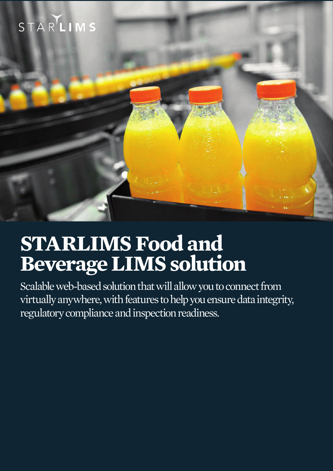



# **STARLIMS Food and Beverage LIMS solution**

Scalable web-based solution that will allow you to connect from virtually anywhere, with features to help you ensure data integrity, regulatory compliance and inspection readiness.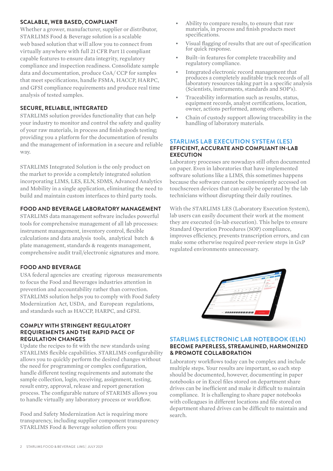#### **SCALABLE, WEB BASED, COMPLIANT**

Whether a grower, manufacturer, supplier or distributor, STARLIMS Food & Beverage solution is a scalable web based solution that will allow you to connect from virtually anywhere with full 21 CFR Part 11 compliant capable features to ensure data integrity, regulatory compliance and inspection readiness. Consolidate sample data and documentation, produce CoA/ CCP for samples that meet specifications, handle FSMA, HACCP, HARPC, and GFSI compliance requirements and produce real time analysis of tested samples.

# **SECURE, RELIABLE, INTEGRATED**

STARLIMS solution provides functionality that can help your industry to monitor and control the safety and quality of your raw materials, in process and finish goods testing; providing you a platform for the documentation of results and the management of information in a secure and reliable way.

STARLIMS Integrated Solution is the only product on the market to provide a completely integrated solution incorporating LIMS, LES, ELN, SDMS, Advanced Analytics and Mobility in a single application, eliminating the need to build and maintain custom interfaces to third party tools.

#### **FOOD AND BEVERAGE LABORATORY MANAGEMENT**

STARLIMS data management software includes powerful tools for comprehensive management of all lab processes: instrument management, inventory control, flexible calculations and data analysis tools, analytical batch & plate management, standards & reagents management, comprehensive audit trail/electronic signatures and more.

### **FOOD AND BEVERAGE**

USA federal agencies are creating rigorous measurements to focus the Food and Beverages industries attention in prevention and accountability rather than correction. STARLIMS solution helps you to comply with Food Safety Modernization Act, USDA, and European regulations, and standards such as HACCP, HARPC, and GFSI.

#### **COMPLY WITH STRINGENT REGULATORY REQUIREMENTS AND THE RAPID PACE OF REGULATION CHANGES**

Update the recipes to fit with the new standards using STARLIMS flexible capabilities. STARLIMS configurability allows you to quickly perform the desired changes without the need for programming or complex configuration, handle different testing requirements and automate the sample collection, login, receiving, assignment, testing, result entry, approval, release and report generation process. The configurable nature of STARIMS allows you to handle virtually any laboratory process or workflow.

Food and Safety Modernization Act is requiring more transparency, including supplier component transparency STARLIMS Food & Beverage solution offers you:

- Ability to compare results, to ensure that raw materials, in process and finish products meet specifications.
- Visual flagging of results that are out of specification for quick response.
- Built-in features for complete traceability and regulatory compliance.
- Integrated electronic record management that produces a completely auditable track records of all laboratory resources taking part in a specific analysis (Scientists, instruments, standards and SOP's).
- Traceability information such as results, status, equipment records, analyst certifications, location, owner, actions performed, among others.
- Chain of custody support allowing traceability in the handling of laboratory materials.

#### **STARLIMS LAB EXECUTION SYSTEM (LES) EFFICIENT, ACCURATE AND COMPLIANT IN-LAB EXECUTION**

Laboratory processes are nowadays still often documented on paper. Even in laboratories that have implemented software solutions like a LIMS, this sometimes happens because the software cannot be conveniently accessed on touchscreen devices that can easily be operated by the lab technicians without disrupting their daily routines.

With the STARLIMS LES (Laboratory Execution System). lab users can easily document their work at the moment they are executed (in-lab execution). This helps to ensure Standard Operation Procedures (SOP) compliance, improves efficiency, prevents transcription errors, and can make some otherwise required peer-review steps in GxP regulated environments unnecessary.



#### **STARLIMS ELECTRONIC LAB NOTEBOOK (ELN) BECOME PAPERLESS, STREAMLINED, HARMONIZED & PROMOTE COLLABORATION**

Laboratory workflows today can be complex and include multiple steps. Your results are important, so each step should be documented, however, documenting in paper notebooks or in Excel files stored on department share drives can be inefficient and make it difficult to maintain compliance. It is challenging to share paper notebooks with colleagues in different locations and file stored on department shared drives can be difficult to maintain and search.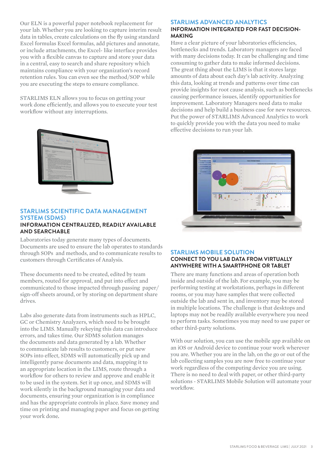Our ELN is a powerful paper notebook replacement for your lab. Whether you are looking to capture interim result data in tables, create calculations on the fly using standard Excel formulas Excel formulas, add pictures and annotate, or include attachments, the Excel- like interface provides you with a flexible canvas to capture and store your data in a central, easy to search and share repository which maintains compliance with your organization's record retention rules. You can even see the method/SOP while you are executing the steps to ensure compliance.

STARLIMS ELN allows you to focus on getting your work done efficiently, and allows you to execute your test workflow without any interruptions.



**AND SEARCHABLE** 

#### **STARLIMS SCIENTIFIC DATA MANAGEMENT SYSTEM (SDMS) INFORMATION CENTRALIZED, READILY AVAILABLE**

Laboratories today generate many types of documents. Documents are used to ensure the lab operates to standards through SOPs and methods, and to communicate results to customers through Certificates of Analysis.

These documents need to be created, edited by team members, routed for approval, and put into effect and communicated to those impacted through passing paper/ sign-off sheets around, or by storing on department share drives.

Labs also generate data from instruments such as HPLC, GC or Chemistry Analyzers, which need to be brought into the LIMS. Manually rekeying this data can introduce errors, and takes time. Our SDMS solution manages the documents and data generated by a lab. Whether to communicate lab results to customers, or put new SOPs into effect, SDMS will automatically pick up and intelligently parse documents and data, mapping it to an appropriate location in the LIMS, route through a workflow for others to review and approve and enable it to be used in the system. Set it up once, and SDMS will work silently in the background managing your data and documents, ensuring your organization is in compliance and has the appropriate controls in place. Save money and time on printing and managing paper and focus on getting your work done.

# **STARLIMS ADVANCED ANALYTICS**

#### **INFORMATION INTEGRATED FOR FAST DECISION-MAKING**

Have a clear picture of your laboratories efficiencies, bottlenecks and trends. Laboratory managers are faced with many decisions today. It can be challenging and time consuming to gather data to make informed decisions. The great thing about the LIMS is that it stores large amounts of data about each day's lab activity. Analyzing this data, looking at trends and patterns over time can provide insights for root cause analysis, such as bottlenecks causing performance issues, identify opportunities for improvement. Laboratory Managers need data to make decisions and help build a business case for new resources. Put the power of STARLIMS Advanced Analytics to work to quickly provide you with the data you need to make effective decisions to run your lab.



# **STARLIMS MOBILE SOLUTION CONNECT TO YOU LAB DATA FROM VIRTUALLY ANYWHERE WITH A SMARTPHONE OR TABLET**

There are many functions and areas of operation both inside and outside of the lab. For example, you may be performing testing at workstations, perhaps in different rooms, or you may have samples that were collected outside the lab and sent in, and inventory may be stored in multiple locations. The challenge is that desktops and laptops may not be readily available everywhere you need to perform tasks. Sometimes you may need to use paper or other third-party solutions.

With our solution, you can use the mobile app available on an iOS or Android device to continue your work wherever you are. Whether you are in the lab, on the go or out of the lab collecting samples you are now free to continue your work regardless of the computing device you are using. There is no need to deal with paper, or other third-party solutions - STARLIMS Mobile Solution will automate your workflow.